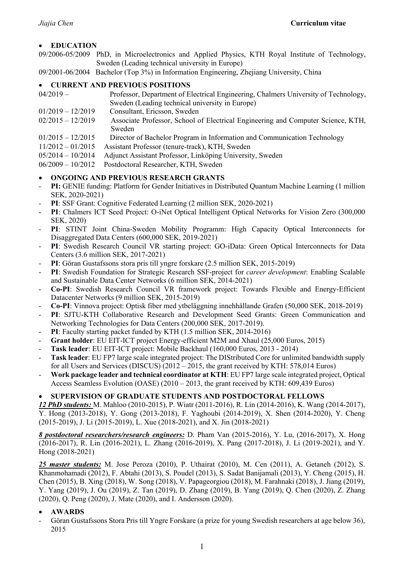## • **EDUCATION**

09/2006-05/2009 PhD, in Microelectronics and Applied Physics, KTH Royal Institute of Technology, Sweden (Leading technical university in Europe)

09/2001-06/2004 Bachelor (Top 3%) in Information Engineering, Zhejiang University, China

## • **CURRENT AND PREVIOUS POSITIONS**

| $04/2019-$          | Professor, Department of Electrical Engineering, Chalmers University of Technology, |
|---------------------|-------------------------------------------------------------------------------------|
|                     | Sweden (Leading technical university in Europe)                                     |
| $01/2019 - 12/2019$ | Consultant, Ericsson, Sweden                                                        |
| $02/2015 - 12/2019$ | Associate Professor, School of Electrical Engineering and Computer Science, KTH,    |
|                     | Sweden                                                                              |
| $01/2015 - 12/2015$ | Director of Bachelor Program in Information and Communication Technology            |
| 11/2012 01/2015     | $\Lambda$ saistent Drofosson (tenung trools) $VTHI$ Cyrodon                         |

- 11/2012 01/2015 Assistant Professor (tenure-track), KTH, Sweden
- 05/2014 10/2014 Adjunct Assistant Professor, Linköping University, Sweden
- 06/2009 10/2012 Postdoctoral Researcher, KTH, Sweden

# • **ONGOING AND PREVIOUS RESEARCH GRANTS**

- **PI:** GENIE funding: Platform for Gender Initiatives in Distributed Quantum Machine Learning (1 million SEK, 2020-2021)
- PI: SSF Grant: Cognitive Federated Learning (2 million SEK, 2020-2021)
- PI: Chalmers ICT Seed Project: O-iNet Optical Intelligent Optical Networks for Vision Zero (300,000) SEK, 2020)
- **PI**: STINT Joint China-Sweden Mobility Programm: High Capacity Optical Interconnects for Disaggregated Data Centers (600,000 SEK, 2019-2021)
- PI: Swedish Research Council VR starting project: GO-iData: Green Optical Interconnects for Data Centers (3.6 million SEK, 2017-2021)
- **PI**: Göran Gustafssons stora pris till yngre forskare (2.5 million SEK, 2015-2019)
- **PI**: Swedish Foundation for Strategic Research SSF-project for *career development*: Enabling Scalable and Sustainable Data Center Networks (6 million SEK, 2014-2021)
- **Co-PI**: Swedish Research Council VR framework project: Towards Flexible and Energy-Efficient Datacenter Networks (9 million SEK, 2015-2019)
- **Co-PI**: Vinnova project: Optisk fiber med ytbeläggning innehhållande Grafen (50,000 SEK, 2018-2019)
- PI: SJTU-KTH Collaborative Research and Development Seed Grants: Green Communication and Networking Technologies for Data Centers (200,000 SEK, 2017-2019).
- **PI**: Faculty starting packet funded by KTH (1.5 million SEK, 2014-2016)
- **Grant holder:** EU EIT-ICT project Energy-efficient M2M and Xhaul (25,000 Euros, 2015)
- **Task leader**: EU EIT-ICT project: Mobile Backhaul (160,000 Euros, 2013 2014)
- **Task leader**: EU FP7 large scale integrated project: The DIStributed Core for unlimited bandwidth supply for all Users and Services (DISCUS) (2012 – 2015, the grant received by KTH: 578,014 Euros)
- **Work package leader and technical coordinator at KTH**: EU FP7 large scale integrated project, Optical Access Seamless Evolution (OASE) (2010 – 2013, the grant received by KTH: 609,439 Euros)

## • **SUPERVISION OF GRADUATE STUDENTS AND POSTDOCTORAL FELLOWS**

*12 PhD students:* M. Mahloo (2010-2015), P. Wiatr (2011-2016), R. Lin (2014-2016), K. Wang (2014-2017), Y. Hong (2013-2018), Y. Gong (2013-2018), F. Yaghoubi (2014-2019), X. Shen (2014-2020), Y. Cheng (2015-2019), J. Li (2015-2019), L. Xue (2018-2021), and X. Jin (2018-2021)

*8 postdoctoral researchers/research engineers:* D. Pham Van (2015-2016), Y. Lu, (2016-2017), X. Hong (2016-2017), R. Lin (2016-2021), L. Zhang (2016-2019), X. Pang (2017-2018), J. Li (2019-2021), and Y. Hong (2018-2021)

*25 master students:* M. Jose Peroza (2010), P. Uthairat (2010), M. Cen (2011), A. Getaneh (2012), S. Khanmohamadi (2012), F. Abtahi (2013), S. Poudel (2013), S. Sadat Banijamali (2013), Y. Cheng (2015), H. Chen (2015), B. Xing (2018), W. Song (2018), V. Papageorgiou (2018), M. Farahnaki (2018), J. Jiang (2019), Y. Yang (2019), J. Ou (2019), Z. Tan (2019), D. Zhang (2019), B. Yang (2019), Q. Chen (2020), Z. Zhang (2020), Q. Peng (2020), J. Mate (2020), and I. Andersson (2020).

## • **AWARDS**

- Göran Gustafssons Stora Pris till Yngre Forskare (a prize for young Swedish researchers at age below 36), 2015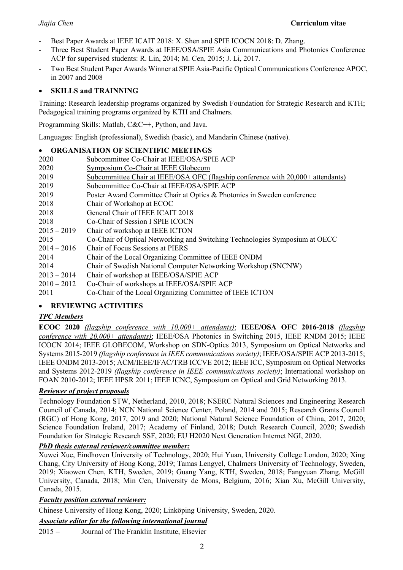- Best Paper Awards at IEEE ICAIT 2018: X. Shen and SPIE ICOCN 2018: D. Zhang.
- Three Best Student Paper Awards at IEEE/OSA/SPIE Asia Communications and Photonics Conference ACP for supervised students: R. Lin, 2014; M. Cen, 2015; J. Li, 2017.
- Two Best Student Paper Awards Winner at SPIE Asia-Pacific Optical Communications Conference APOC, in 2007 and 2008

# • **SKILLS and TRAINNING**

Training: Research leadership programs organized by Swedish Foundation for Strategic Research and KTH; Pedagogical training programs organized by KTH and Chalmers.

Programming Skills: Matlab, C&C++, Python, and Java.

Languages: English (professional), Swedish (basic), and Mandarin Chinese (native).

## • **ORGANISATION OF SCIENTIFIC MEETINGS**

- 2020 Subcommittee Co-Chair at IEEE/OSA/SPIE ACP 2020 Symposium Co-Chair at IEEE Globecom 2019 Subcommittee Chair at IEEE/OSA OFC (flagship conference with 20,000+ attendants) 2019 Subcommittee Co-Chair at IEEE/OSA/SPIE ACP 2019 Poster Award Committee Chair at Optics & Photonics in Sweden conference 2018 Chair of Workshop at ECOC 2018 General Chair of IEEE ICAIT 2018 2018 Co-Chair of Session I SPIE ICOCN
- 2015 2019 Chair of workshop at IEEE ICTON
- 2015 Co-Chair of Optical Networking and Switching Technologies Symposium at OECC
- 2014 2016 Chair of Focus Sessions at PIERS
- 2014 Chair of the Local Organizing Committee of IEEE ONDM
- 2014 Chair of Swedish National Computer Networking Workshop (SNCNW)
- 2013 2014 Chair of workshop at IEEE/OSA/SPIE ACP
- 2010 2012 Co-Chair of workshops at IEEE/OSA/SPIE ACP
- 2011 Co-Chair of the Local Organizing Committee of IEEE ICTON

## • **REVIEWING ACTIVITIES**

## *TPC Members*

**ECOC 2020** *(flagship conference with 10,000+ attendants)*; **IEEE/OSA OFC 2016-2018** *(flagship conference with 20,000+ attendants)*; IEEE/OSA Photonics in Switching 2015, IEEE RNDM 2015; IEEE ICOCN 2014; IEEE GLOBECOM, Workshop on SDN-Optics 2013, Symposium on Optical Networks and Systems 2015-2019 *(flagship conference in IEEE communications society)*; IEEE/OSA/SPIE ACP 2013-2015; IEEE ONDM 2013-2015; ACM/IEEE/IFAC/TRB ICCVE 2012; IEEE ICC, Symposium on Optical Networks and Systems 2012-2019 *(flagship conference in IEEE communications society)*; International workshop on FOAN 2010-2012; IEEE HPSR 2011; IEEE ICNC, Symposium on Optical and Grid Networking 2013.

## *Reviewer of project proposals*

Technology Foundation STW, Netherland, 2010, 2018; NSERC Natural Sciences and Engineering Research Council of Canada, 2014; NCN National Science Center, Poland, 2014 and 2015; Research Grants Council (RGC) of Hong Kong, 2017, 2019 and 2020; National Natural Science Foundation of China, 2017, 2020; Science Foundation Ireland, 2017; Academy of Finland, 2018; Dutch Research Council, 2020; Swedish Foundation for Strategic Research SSF, 2020; EU H2020 Next Generation Internet NGI, 2020.

## *PhD thesis external reviewer/committee member:*

Xuwei Xue, Eindhoven University of Technology, 2020; Hui Yuan, University College London, 2020; Xing Chang, City University of Hong Kong, 2019; Tamas Lengyel, Chalmers University of Technology, Sweden, 2019; Xiaowen Chen, KTH, Sweden, 2019; Guang Yang, KTH, Sweden, 2018; Fangyuan Zhang, McGill University, Canada, 2018; Min Cen, University de Mons, Belgium, 2016; Xian Xu, McGill University, Canada, 2015.

## *Faculty position external reviewer:*

Chinese University of Hong Kong, 2020; Linköping University, Sweden, 2020.

*Associate editor for the following international journal*

2015 – Journal of The Franklin Institute, Elsevier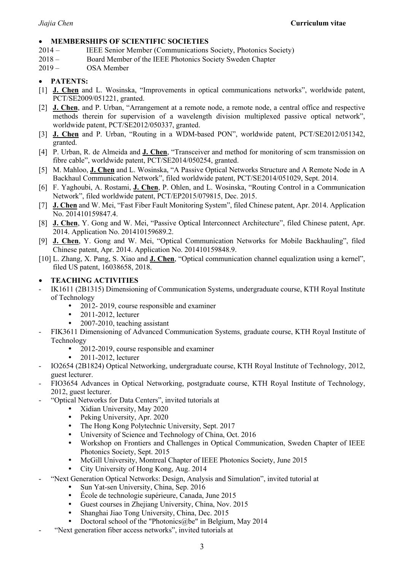#### • **MEMBERSHIPS OF SCIENTIFIC SOCIETIES**

- 2014 IEEE Senior Member (Communications Society, Photonics Society)
- 2018 Board Member of the IEEE Photonics Society Sweden Chapter
- 2019 OSA Member

# • **PATENTS:**

- [1] **J. Chen** and L. Wosinska, "Improvements in optical communications networks", worldwide patent, PCT/SE2009/051221, granted.
- [2] **J. Chen**, and P. Urban, "Arrangement at a remote node, a remote node, a central office and respective methods therein for supervision of a wavelength division multiplexed passive optical network", worldwide patent, PCT/SE2012/050337, granted.
- [3] **J. Chen** and P. Urban, "Routing in a WDM-based PON", worldwide patent, PCT/SE2012/051342, granted.
- [4] P. Urban, R. de Almeida and **J. Chen**, "Transceiver and method for monitoring of scm transmission on fibre cable", worldwide patent, PCT/SE2014/050254, granted.
- [5] M. Mahloo, **J. Chen** and L. Wosinska, "A Passive Optical Networks Structure and A Remote Node in A Backhaul Communication Network", filed worldwide patent, PCT/SE2014/051029, Sept. 2014.
- [6] F. Yaghoubi, A. Rostami, **J. Chen**, P. Ohlen, and L. Wosinska, "Routing Control in a Communication Network", filed worldwide patent, PCT/EP2015/079815, Dec. 2015.
- [7] **J. Chen** and W. Mei, "Fast Fiber Fault Monitoring System", filed Chinese patent, Apr. 2014. Application No. 201410159847.4.
- [8] **J. Chen**, Y. Gong and W. Mei, "Passive Optical Interconnect Architecture", filed Chinese patent, Apr. 2014. Application No. 201410159689.2.
- [9] **J. Chen**, Y. Gong and W. Mei, "Optical Communication Networks for Mobile Backhauling", filed Chinese patent, Apr. 2014. Application No. 201410159848.9.
- [10] L. Zhang, X. Pang, S. Xiao and **J. Chen**, "Optical communication channel equalization using a kernel", filed US patent, 16038658, 2018.

# • **TEACHING ACTIVITIES**

- IK1611 (2B1315) Dimensioning of Communication Systems, undergraduate course, KTH Royal Institute of Technology
	- 2012-2019, course responsible and examiner
	- 2011-2012, lecturer
	- 2007-2010, teaching assistant
- FIK3611 Dimensioning of Advanced Communication Systems, graduate course, KTH Royal Institute of Technology
	- 2012-2019, course responsible and examiner
	- 2011-2012, lecturer
- IO2654 (2B1824) Optical Networking, undergraduate course, KTH Royal Institute of Technology, 2012, guest lecturer.
- FIO3654 Advances in Optical Networking, postgraduate course, KTH Royal Institute of Technology, 2012, guest lecturer.
- "Optical Networks for Data Centers", invited tutorials at
	- Xidian University, May 2020
	- Peking University, Apr. 2020
	- The Hong Kong Polytechnic University, Sept. 2017
	- University of Science and Technology of China, Oct. 2016
	- Workshop on Frontiers and Challenges in Optical Communication, Sweden Chapter of IEEE Photonics Society, Sept. 2015
	- McGill University, Montreal Chapter of IEEE Photonics Society, June 2015
	- City University of Hong Kong, Aug. 2014
- "Next Generation Optical Networks: Design, Analysis and Simulation", invited tutorial at
	- Sun Yat-sen University, China, Sep. 2016
	- École de technologie supérieure, Canada, June 2015
	- Guest courses in Zhejiang University, China, Nov. 2015
	- Shanghai Jiao Tong University, China, Dec. 2015
	- Doctoral school of the "Photonics@be" in Belgium, May 2014
- "Next generation fiber access networks", invited tutorials at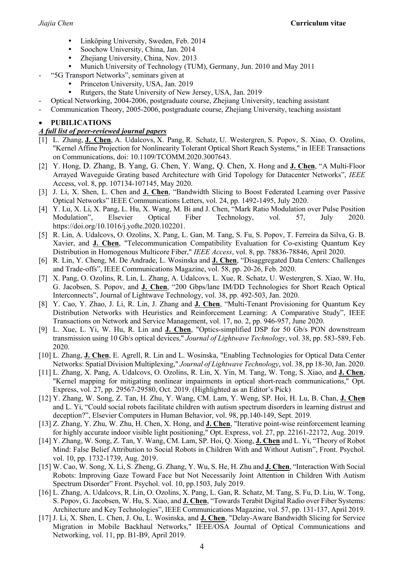- Linköping University, Sweden, Feb. 2014
- Soochow University, China, Jan. 2014
- Zheijang University, China, Nov. 2013
- Munich University of Technology (TUM), Germany, Jun. 2010 and May 2011
- "5G Transport Networks", seminars given at
	- Princeton University, USA, Jan. 2019
	- Rutgers, the State University of New Jersey, USA, Jan. 2019
- Optical Networking, 2004-2006, postgraduate course, Zhejiang University, teaching assistant
- Communication Theory, 2005-2006, postgraduate course, Zhejiang University, teaching assistant

#### • **PUBILICATIONS**

#### *A full list of peer-reviewed journal papers*

- [1] L. Zhang, **J. Chen**, A. Udalcovs, X. Pang, R. Schatz, U. Westergren, S. Popov, S. Xiao, O. Ozolins, "Kernel Affine Projection for Nonlinearity Tolerant Optical Short Reach Systems," in IEEE Transactions on Communications, doi: 10.1109/TCOMM.2020.3007643.
- [2] Y. Hong, D. Zhang, B. Yang, G. Chen, Y. Wang, Q. Chen, X. Hong and **J. Chen**, "A Multi-Floor Arrayed Waveguide Grating based Architecture with Grid Topology for Datacenter Networks", *IEEE*  Access, vol. 8, pp. 107134-107145, May 2020.
- [3] J. Li, X. Shen, L. Chen and **J. Chen**, "Bandwidth Slicing to Boost Federated Learning over Passive Optical Networks" IEEE Communications Letters, vol. 24, pp. 1492-1495, July 2020.
- [4] Y. Lu, X. Li, X. Pang, L. Hu, X. Wang, M. Bi and J. Chen, "Mark Ratio Modulation over Pulse Position Modulation", Elsevier Optical Fiber Technology, vol. 57, July 2020. https://doi.org/10.1016/j.yofte.2020.102201.
- [5] R. Lin, A. Udalcovs, O. Ozolins, X. Pang, L. Gan, M. Tang, S. Fu, S. Popov, T. Ferreira da Silva, G. B. Xavier, and **J. Chen**, "Telecommunication Compatibility Evaluation for Co-existing Quantum Key Distribution in Homogenous Multicore Fiber," *IEEE Access*, vol. 8, pp. 78836-78846, April 2020.
- [6] R. Lin, Y. Cheng, M. De Andrade, L. Wosinska and **J. Chen**, "Disaggregated Data Centers: Challenges and Trade-offs", IEEE Communications Magazine, vol. 58, pp. 20-26, Feb. 2020.
- [7] X. Pang, O. Ozolins, R. Lin, L. Zhang, A. Udalcovs*,* L. Xue, R. Schatz, U. Westergren, S. Xiao, W. Hu, G. Jacobsen, S. Popov, and **J. Chen**, "200 Gbps/lane IM/DD Technologies for Short Reach Optical Interconnects", Journal of Lightwave Technology, vol. 38, pp. 492-503, Jan. 2020.
- [8] Y. Cao, Y. Zhao, J. Li, R. Lin, J. Zhang and **J. Chen**, "Multi-Tenant Provisioning for Quantum Key Distribution Networks with Heuristics and Reinforcement Learning: A Comparative Study", IEEE Transactions on Network and Service Management, vol. 17, no. 2, pp. 946-957, June 2020.
- [9] L. Xue, L. Yi, W. Hu, R. Lin and **J. Chen**, "Optics-simplified DSP for 50 Gb/s PON downstream transmission using 10 Gb/s optical devices," *Journal of Lightwave Technology*, vol. 38, pp. 583-589, Feb. 2020.
- [10] L. Zhang, **J. Chen**, E. Agrell, R. Lin and L. Wosinska, "Enabling Technologies for Optical Data Center Networks: Spatial Division Multiplexing," *Journal of Lightwave Technology*, vol. 38, pp 18-30, Jan. 2020.
- [11] L. Zhang, X. Pang, A. Udalcovs, O. Ozolins, R. Lin, X. Yin, M. Tang, W. Tong, S. Xiao, and **J. Chen**, "Kernel mapping for mitigating nonlinear impairments in optical short-reach communications," Opt. Express, vol. 27, pp. 29567-29580, Oct. 2019. (Highlighted as an Editor's Pick)
- [12] Y. Zhang, W. Song, Z. Tan, H. Zhu, Y. Wang, CM. Lam, Y. Weng, SP. Hoi, H. Lu, B. Chan, **J. Chen** and L. Yi, "Could social robots facilitate children with autism spectrum disorders in learning distrust and deception?", Elsevier Computers in Human Behavior, vol. 98, pp.140-149, Sept. 2019.
- [13] Z. Zhang, Y. Zhu, W. Zhu, H. Chen, X. Hong, and **J. Chen**, "Iterative point-wise reinforcement learning for highly accurate indoor visible light positioning," Opt. Express, vol. 27, pp. 22161-22172, Aug. 2019.
- [14] Y. Zhang, W. Song, Z. Tan, Y. Wang, CM. Lam, SP. Hoi, Q. Xiong, **J. Chen** and L. Yi, "Theory of Robot Mind: False Belief Attribution to Social Robots in Children With and Without Autism", Front. Psychol. vol. 10, pp. 1732-1739, Aug. 2019.
- [15] W. Cao, W. Song, X. Li, S. Zheng, G. Zhang, Y. Wu, S. He, H. Zhu and **J. Chen**, "Interaction With Social Robots: Improving Gaze Toward Face but Not Necessarily Joint Attention in Children With Autism Spectrum Disorder" Front. Psychol. vol. 10, pp.1503, July 2019.
- [16] L. Zhang, A. Udalcovs, R. Lin, O. Ozolins, X. Pang, L. Gan, R. Schatz, M. Tang, S. Fu, D. Liu, W. Tong, S. Popov, G. Jacobsen, W. Hu, S. Xiao, and **J. Chen**, "Towards Terabit Digital Radio over Fiber Systems: Architecture and Key Technologies", IEEE Communications Magazine, vol. 57, pp. 131-137, April 2019.
- [17] J. Li, X. Shen, L. Chen, J. Ou, L. Wosinska, and **J. Chen**, "Delay-Aware Bandwidth Slicing for Service Migration in Mobile Backhaul Networks," IEEE/OSA Journal of Optical Communications and Networking, vol. 11, pp. B1-B9, April 2019.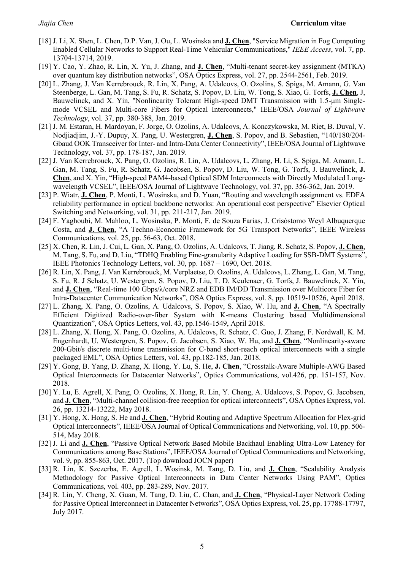- [18] J. Li, X. Shen, L. Chen, D.P. Van, J. Ou, L. Wosinska and **J. Chen**, "Service Migration in Fog Computing Enabled Cellular Networks to Support Real-Time Vehicular Communications," *IEEE Access*, vol. 7, pp. 13704-13714, 2019.
- [19] Y. Cao, Y. Zhao, R. Lin, X. Yu, J. Zhang, and **J. Chen**, "Multi-tenant secret-key assignment (MTKA) over quantum key distribution networks", OSA Optics Express, vol. 27, pp. 2544-2561, Feb. 2019.
- [20] L. Zhang, J. Van Kerrebrouck, R. Lin, X. Pang, A. Udalcovs, O. Ozolins, S. Spiga, M. Amann, G. Van Steenberge, L. Gan, M. Tang, S. Fu, R. Schatz, S. Popov, D. Liu, W. Tong, S. Xiao, G. Torfs, **J. Chen**, J, Bauwelinck, and X. Yin, "Nonlinearity Tolerant High-speed DMT Transmission with 1.5-μm Singlemode VCSEL and Multi-core Fibers for Optical Interconnects," IEEE/OSA *Journal of Lightwave Technology*, vol. 37, pp. 380-388, Jan. 2019.
- [21] J. M. Estaran, H. Mardoyan, F. Jorge, O. Ozolins, A. Udalcovs, A. Konczykowska, M. Riet, B. Duval, V. Nodjiadjim, J.-Y. Dupuy, X. Pang, U. Westergren, **J. Chen**, S. Popov, and B. Sebastien, "140/180/204- Gbaud OOK Transceiver for Inter- and Intra-Data Center Connectivity", IEEE/OSA Journal of Lightwave Technology, vol. 37, pp. 178-187, Jan. 2019.
- [22] J. Van Kerrebrouck, X. Pang, O. Ozolins, R. Lin, A. Udalcovs, L. Zhang, H. Li, S. Spiga, M. Amann, L. Gan, M. Tang, S. Fu, R. Schatz, G. Jacobsen, S. Popov, D. Liu, W. Tong, G. Torfs, J. Bauwelinck, **J. Chen**, and X. Yin, "High-speed PAM4-based Optical SDM Interconnects with Directly Modulated Longwavelength VCSEL", IEEE/OSA Journal of Lightwave Technology, vol. 37, pp. 356-362, Jan. 2019.
- [23] P. Wiatr, **J. Chen**, P. Monti, L. Wosinska, and D. Yuan, "Routing and wavelength assignment vs. EDFA reliability performance in optical backbone networks: An operational cost perspective" Elsevier Optical Switching and Networking, vol. 31, pp. 211-217, Jan. 2019.
- [24] F. Yaghoubi, M. Mahloo, L. Wosinska, P. Monti, F. de Souza Farias, J. Crisóstomo Weyl Albuquerque Costa, and **J. Chen**, "A Techno-Economic Framework for 5G Transport Networks", IEEE Wireless Communications, vol. 25, pp. 56-63, Oct. 2018.
- [25] X. Chen, R. Lin, J. Cui, L. Gan, X. Pang, O. Ozolins, A. Udalcovs, T. Jiang, R. Schatz, S. Popov, **J. Chen**, M. Tang, S. Fu, and D. Liu, "TDHQ Enabling Fine-granularity Adaptive Loading for SSB-DMT Systems", IEEE Photonics Technology Letters, vol. 30, pp. 1687 – 1690, Oct. 2018.
- [26] R. Lin, X. Pang, J. Van Kerrebrouck, M. Verplaetse, O. Ozolins, A. Udalcovs, L. Zhang, L. Gan, M. Tang, S. Fu, R. J Schatz, U. Westergren, S. Popov, D. Liu, T. D. Keulenaer, G. Torfs, J. Bauwelinck, X. Yin, and **J. Chen**, "Real-time 100 Gbps/λ/core NRZ and EDB IM/DD Transmission over Multicore Fiber for Intra-Datacenter Communication Networks", OSA Optics Express, vol. 8, pp. 10519-10526, April 2018.
- [27] L. Zhang, X. Pang, O. Ozolins, A. Udalcovs, S. Popov, S. Xiao, W. Hu, and **J. Chen**, "A Spectrally Efficient Digitized Radio-over-fiber System with K-means Clustering based Multidimensional Quantization", OSA Optics Letters, vol. 43, pp.1546-1549, April 2018.
- [28] L. Zhang, X. Hong, X. Pang, O. Ozolins, A. Udalcovs, R. Schatz, C. Guo, J. Zhang, F. Nordwall, K. M. Engenhardt, U. Westergren, S. Popov, G. Jacobsen, S. Xiao, W. Hu, and **J. Chen**, "Nonlinearity-aware 200-Gbit/s discrete multi-tone transmission for C-band short-reach optical interconnects with a single packaged EML", OSA Optics Letters, vol. 43, pp.182-185, Jan. 2018.
- [29] Y. Gong, B. Yang, D. Zhang, X. Hong, Y. Lu, S. He, **J. Chen**, "Crosstalk-Aware Multiple-AWG Based Optical Interconnects for Datacenter Networks", Optics Communications, vol.426, pp. 151-157, Nov. 2018.
- [30] Y. Lu, E. Agrell, X. Pang, O. Ozolins, X. Hong, R. Lin, Y. Cheng, A. Udalcovs, S. Popov, G. Jacobsen, and **J. Chen**, "Multi-channel collision-free reception for optical interconnects", OSA Optics Express, vol. 26, pp. 13214-13222, May 2018.
- [31] Y. Hong, X. Hong, S. He and **J. Chen**, "Hybrid Routing and Adaptive Spectrum Allocation for Flex-grid Optical Interconnects", IEEE/OSA Journal of Optical Communications and Networking, vol. 10, pp. 506- 514, May 2018.
- [32] J. Li and **J. Chen**, "Passive Optical Network Based Mobile Backhaul Enabling Ultra-Low Latency for Communications among Base Stations", IEEE/OSA Journal of Optical Communications and Networking, vol. 9, pp. 855-863, Oct. 2017. (Top download JOCN paper)
- [33] R. Lin, K. Szczerba, E. Agrell, L. Wosinsk, M. Tang, D. Liu, and **J. Chen**, "Scalability Analysis Methodology for Passive Optical Interconnects in Data Center Networks Using PAM", Optics Communications, vol. 403, pp. 283-289, Nov. 2017.
- [34] R. Lin, Y. Cheng, X. Guan, M. Tang, D. Liu, C. Chan, and **J. Chen**, "Physical-Layer Network Coding for Passive Optical Interconnect in Datacenter Networks", OSA Optics Express, vol. 25, pp. 17788-17797, July 2017.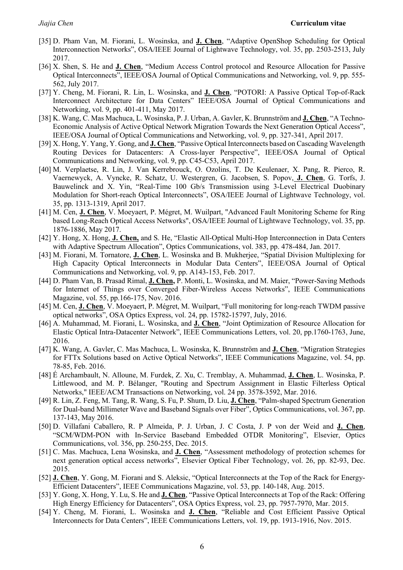- [35] D. Pham Van, M. Fiorani, L. Wosinska, and **J. Chen**, "Adaptive OpenShop Scheduling for Optical Interconnection Networks", OSA/IEEE Journal of Lightwave Technology, vol. 35, pp. 2503-2513, July 2017.
- [36] X. Shen, S. He and **J. Chen**, "Medium Access Control protocol and Resource Allocation for Passive Optical Interconnects", IEEE/OSA Journal of Optical Communications and Networking, vol. 9, pp. 555- 562, July 2017.
- [37] Y. Cheng, M. Fiorani, R. Lin, L. Wosinska, and **J. Chen**, "POTORI: A Passive Optical Top-of-Rack Interconnect Architecture for Data Centers" IEEE/OSA Journal of Optical Communications and Networking, vol. 9, pp. 401-411, May 2017.
- [38] K. Wang, C. Mas Machuca, L. Wosinska, P. J. Urban, A. Gavler, K. Brunnström and **J. Chen**, "A Techno-Economic Analysis of Active Optical Network Migration Towards the Next Generation Optical Access", IEEE/OSA Journal of Optical Communications and Networking, vol. 9, pp. 327-341, April 2017.
- [39] X. Hong, Y. Yang, Y. Gong, and **J. Chen**, "Passive Optical Interconnects based on Cascading Wavelength Routing Devices for Datacenters: A Cross-layer Perspective", IEEE/OSA Journal of Optical Communications and Networking, vol. 9, pp. C45-C53, April 2017.
- [40] M. Verplaetse, R. Lin, J. Van Kerrebrouck, O. Ozolins, T. De Keulenaer, X. Pang, R. Pierco, R. Vaernewyck, A. Vyncke, R. Schatz, U. Westergren, G. Jacobsen, S. Popov, **J. Chen**, G. Torfs, J. Bauwelinck and X. Yin, "Real-Time 100 Gb/s Transmission using 3-Level Electrical Duobinary Modulation for Short-reach Optical Interconnects", OSA/IEEE Journal of Lightwave Technology, vol. 35, pp. 1313-1319, April 2017.
- [41] M. Cen, **J. Chen**, V. Moeyaert, P. Mégret, M. Wuilpart, "Advanced Fault Monitoring Scheme for Ring based Long-Reach Optical Access Networks", OSA/IEEE Journal of Lightwave Technology, vol. 35, pp. 1876-1886, May 2017.
- [42] Y. Hong, X. Hong, **J. Chen,** and S. He, "Elastic All-Optical Multi-Hop Interconnection in Data Centers with Adaptive Spectrum Allocation", Optics Communications, vol. 383, pp. 478-484, Jan. 2017.
- [43] M. Fiorani, M. Tornatore, **J. Chen**, L. Wosinska and B. Mukherjee, "Spatial Division Multiplexing for High Capacity Optical Interconnects in Modular Data Centers", IEEE/OSA Journal of Optical Communications and Networking, vol. 9, pp. A143-153, Feb. 2017.
- [44] D. Pham Van, B. Prasad Rimal, **J. Chen,** P. Monti, L. Wosinska, and M. Maier, "Power-Saving Methods for Internet of Things over Converged Fiber-Wireless Access Networks", IEEE Communications Magazine, vol. 55, pp.166-175, Nov. 2016.
- [45] M. Cen, **J. Chen**, V. Moeyaert, P. Mégret, M. Wuilpart, "Full monitoring for long-reach TWDM passive optical networks", OSA Optics Express, vol. 24, pp. 15782-15797, July, 2016.
- [46] A. Muhammad, M. Fiorani, L. Wosinska, and **J. Chen**, "Joint Optimization of Resource Allocation for Elastic Optical Intra-Datacenter Network", IEEE Communications Letters, vol. 20, pp.1760-1763, June, 2016.
- [47] K. Wang, A. Gavler, C. Mas Machuca, L. Wosinska, K. Brunnström and **J. Chen**, "Migration Strategies for FTTx Solutions based on Active Optical Networks", IEEE Communications Magazine, vol. 54, pp. 78-85, Feb. 2016.
- [48] É Archambault, N. Alloune, M. Furdek, Z. Xu, C. Tremblay, A. Muhammad, **J. Chen**, L. Wosinska, P. Littlewood, and M. P. Bélanger, "Routing and Spectrum Assignment in Elastic Filterless Optical Networks," IEEE/ACM Transactions on Networking, vol. 24 pp. 3578-3592, Mar. 2016.
- [49] R. Lin, Z. Feng, M. Tang, R. Wang, S. Fu, P. Shum, D. Liu, **J. Chen**, "Palm-shaped Spectrum Generation for Dual-band Millimeter Wave and Baseband Signals over Fiber", Optics Communications, vol. 367, pp. 137-143, May 2016.
- [50] D. Villafani Caballero, R. P Almeida, P. J. Urban, J. C Costa, J. P von der Weid and **J. Chen**, "SCM/WDM-PON with In-Service Baseband Embedded OTDR Monitoring", Elsevier, Optics Communications, vol. 356, pp. 250-255, Dec. 2015.
- [51] C. Mas. Machuca, Lena Wosinska, and **J. Chen**, "Assessment methodology of protection schemes for next generation optical access networks", Elsevier Optical Fiber Technology, vol. 26, pp. 82-93, Dec. 2015.
- [52] **J. Chen**, Y. Gong, M. Fiorani and S. Aleksic, "Optical Interconnects at the Top of the Rack for Energy-Efficient Datacenters", IEEE Communications Magazine, vol. 53, pp. 140-148, Aug. 2015.
- [53] Y. Gong, X. Hong, Y. Lu, S. He and **J. Chen**, "Passive Optical Interconnects at Top of the Rack: Offering High Energy Efficiency for Datacenters", OSA Optics Express, vol. 23, pp. 7957-7970, Mar. 2015.
- [54] Y. Cheng, M. Fiorani, L. Wosinska and **J. Chen**, "Reliable and Cost Efficient Passive Optical Interconnects for Data Centers", IEEE Communications Letters, vol. 19, pp. 1913-1916, Nov. 2015.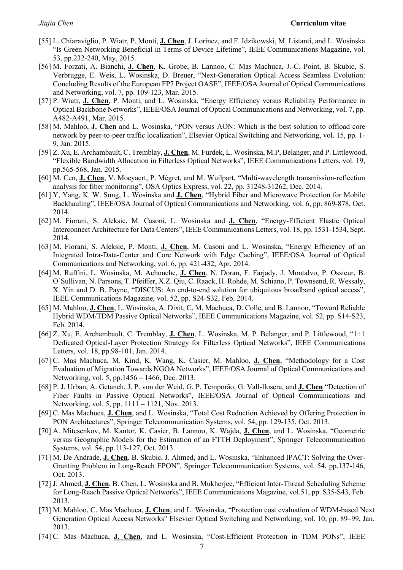- [55] L. Chiaraviglio, P. Wiatr, P. Monti, **J. Chen**, J. Lorincz, and F. Idzikowski, M. Listanti, and L. Wosinska "Is Green Networking Beneficial in Terms of Device Lifetime", IEEE Communications Magazine, vol. 53, pp.232-240, May, 2015.
- [56] M. Forzati, A. Bianchi, **J. Chen**, K. Grobe, B. Lannoo, C. Mas Machuca, J.-C. Point, B. Skubic, S. Verbrugge, E. Weis, L. Wosinska, D. Breuer, "Next-Generation Optical Access Seamless Evolution: Concluding Results of the European FP7 Project OASE", IEEE/OSA Journal of Optical Communications and Networking, vol. 7, pp. 109-123, Mar. 2015.
- [57] P. Wiatr, **J. Chen**, P. Monti, and L. Wosinska, "Energy Efficiency versus Reliability Performance in Optical Backbone Networks", IEEE/OSA Journal of Optical Communications and Networking, vol. 7, pp. A482-A491, Mar. 2015.
- [58] M. Mahloo, **J. Chen** and L. Wosinska, "PON versus AON: Which is the best solution to offload core network by peer-to-peer traffic localization", Elsevier Optical Switching and Networking, vol. 15, pp. 1- 9, Jan. 2015.
- [59] Z. Xu, E. Archambault, C. Tremblay, **J. Chen**, M. Furdek, L. Wosinska, M.P, Belanger, and P. Littlewood, "Flexible Bandwidth Allocation in Filterless Optical Networks", IEEE Communications Letters, vol. 19, pp.565-568, Jan. 2015.
- [60] M. Cen, **J. Chen**, V. Moeyaert, P. Mégret, and M. Wuilpart, "Multi-wavelength transmission-reflection analysis for fiber monitoring", OSA Optics Express, vol. 22, pp. 31248-31262, Dec. 2014.
- [61] Y, Yang, K. W. Sung, L. Wosinska and **J. Chen**, "Hybrid Fiber and Microwave Protection for Mobile Backhauling", IEEE/OSA Journal of Optical Communications and Networking, vol. 6, pp. 869-878, Oct. 2014.
- [62] M. Fiorani, S. Aleksic, M. Casoni, L. Wosinska and **J. Chen**, "Energy-Efficient Elastic Optical Interconnect Architecture for Data Centers", IEEE Communications Letters, vol. 18, pp. 1531-1534, Sept. 2014.
- [63] M. Fiorani, S. Aleksic, P. Monti, **J. Chen**, M. Casoni and L. Wosinska, "Energy Efficiency of an Integrated Intra-Data-Center and Core Network with Edge Caching", IEEE/OSA Journal of Optical Communications and Networking, vol. 6, pp. 421-432, Apr. 2014.
- [64] M. Ruffini, L. Wosinska, M. Achouche, **J. Chen**, N. Doran, F. Farjady, J. Montalvo, P. Ossieur, B. O'Sullivan, N. Parsons, T. Pfeiffer, X.Z. Qiu, C. Raack, H. Rohde, M. Schiano, P. Townsend, R. Wessaly, X. Yin and D. B. Payne, "DISCUS: An end-to-end solution for ubiquitous broadband optical access", IEEE Communications Magazine, vol. 52, pp. S24-S32, Feb. 2014.
- [65] M. Mahloo, **J. Chen**, L. Wosinska, A. Dixit, C. M. Machuca, D. Colle, and B. Lannoo, "Toward Reliable Hybrid WDM/TDM Passive Optical Networks", IEEE Communications Magazine, vol. 52, pp. S14-S23, Feb. 2014.
- [66] Z. Xu, E. Archambault, C. Tremblay, **J. Chen**, L. Wosinska, M. P. Belanger, and P. Littlewood, "1+1 Dedicated Optical-Layer Protection Strategy for Filterless Optical Networks", IEEE Communications Letters, vol. 18, pp.98-101, Jan. 2014.
- [67] C. Mas Machuca, M. Kind, K. Wang, K. Casier, M. Mahloo, **J. Chen**, "Methodology for a Cost Evaluation of Migration Towards NGOA Networks", IEEE/OSA Journal of Optical Communications and Networking, vol. 5, pp.1456 – 1466, Dec. 2013.
- [68] P. J. Urban, A. Getaneh, J. P. von der Weid, G. P. Temporão, G. Vall-llosera, and **J. Chen** "Detection of Fiber Faults in Passive Optical Networks", IEEE/OSA Journal of Optical Communications and Networking, vol. 5, pp. 1111 – 1121, Nov. 2013.
- [69] C. Mas Machuca, **J. Chen**, and L. Wosinska, "Total Cost Reduction Achieved by Offering Protection in PON Architectures", Springer Telecommunication Systems, vol. 54, pp. 129-135, Oct. 2013.
- [70] A. Mitcsenkov, M. Kantor, K. Casier, B. Lannoo, K. Wajda, **J. Chen**, and L. Wosinska, "Geometric versus Geographic Models for the Estimation of an FTTH Deployment", Springer Telecommunication Systems, vol. 54, pp.113-127, Oct. 2013.
- [71] M. De Andrade, **J. Chen**, B. Skubic, J. Ahmed, and L. Wosinska, "Enhanced IPACT: Solving the Over-Granting Problem in Long-Reach EPON", Springer Telecommunication Systems, vol. 54, pp.137-146, Oct. 2013.
- [72] J. Ahmed, **J. Chen**, B. Chen, L. Wosinska and B. Mukherjee, "Efficient Inter-Thread Scheduling Scheme for Long-Reach Passive Optical Networks", IEEE Communications Magazine, vol.51, pp. S35-S43, Feb. 2013.
- [73] M. Mahloo, C. Mas Machuca, **J. Chen**, and L. Wosinska, "Protection cost evaluation of WDM-based Next Generation Optical Access Networks" Elsevier Optical Switching and Networking, vol. 10, pp. 89–99, Jan. 2013.
- [74] C. Mas Machuca, **J. Chen**, and L. Wosinska, "Cost-Efficient Protection in TDM PONs", IEEE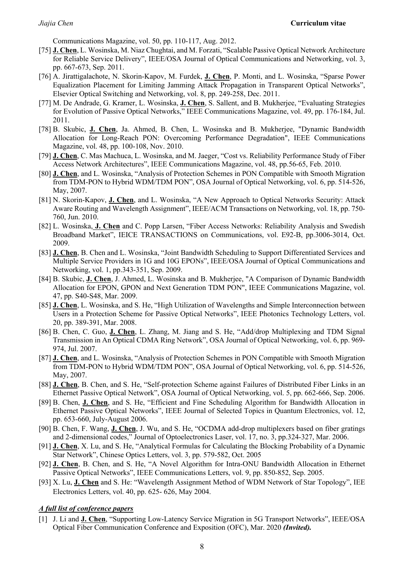Communications Magazine, vol. 50, pp. 110-117, Aug. 2012.

- [75] **J. Chen**, L. Wosinska, M. Niaz Chughtai, and M. Forzati, "Scalable Passive Optical Network Architecture for Reliable Service Delivery", IEEE/OSA Journal of Optical Communications and Networking, vol. 3, pp. 667-673, Sep. 2011.
- [76] A. Jirattigalachote, N. Skorin-Kapov, M. Furdek, **J. Chen**, P. Monti, and L. Wosinska, "Sparse Power Equalization Placement for Limiting Jamming Attack Propagation in Transparent Optical Networks", Elsevier Optical Switching and Networking, vol. 8, pp. 249-258, Dec. 2011.
- [77] M. De Andrade, G. Kramer, L. Wosinska, **J. Chen**, S. Sallent, and B. Mukherjee, "Evaluating Strategies for Evolution of Passive Optical Networks," IEEE Communications Magazine, vol. 49, pp. 176-184, Jul. 2011.
- [78] B. Skubic, **J. Chen**, Ja. Ahmed, B. Chen, L. Wosinska and B. Mukherjee, "Dynamic Bandwidth Allocation for Long-Reach PON: Overcoming Performance Degradation", IEEE Communications Magazine, vol. 48, pp. 100-108, Nov. 2010.
- [79] **J. Chen**, C. Mas Machuca, L. Wosinska, and M. Jaeger, "Cost vs. Reliability Performance Study of Fiber Access Network Architectures", IEEE Communications Magazine, vol. 48, pp.56-65, Feb. 2010.
- [80] **J. Chen**, and L. Wosinska, "Analysis of Protection Schemes in PON Compatible with Smooth Migration from TDM-PON to Hybrid WDM/TDM PON", OSA Journal of Optical Networking, vol. 6, pp. 514-526, May, 2007.
- [81] N. Skorin-Kapov, **J. Chen**, and L. Wosinska, "A New Approach to Optical Networks Security: Attack Aware Routing and Wavelength Assignment", IEEE/ACM Transactions on Networking, vol. 18, pp. 750- 760, Jun. 2010.
- [82] L. Wosinska, **J. Chen** and C. Popp Larsen, "Fiber Access Networks: Reliability Analysis and Swedish Broadband Market", IEICE TRANSACTIONS on Communications, vol. E92-B, pp.3006-3014, Oct. 2009.
- [83] **J. Chen**, B. Chen and L. Wosinska, "Joint Bandwidth Scheduling to Support Differentiated Services and Multiple Service Providers in 1G and 10G EPONs", IEEE/OSA Journal of Optical Communications and Networking, vol. 1, pp.343-351, Sep. 2009.
- [84] B. Skubic, **J. Chen**, J. Ahmed, L. Wosinska and B. Mukherjee, "A Comparison of Dynamic Bandwidth Allocation for EPON, GPON and Next Generation TDM PON", IEEE Communications Magazine, vol. 47, pp. S40-S48, Mar. 2009.
- [85] **J. Chen**, L. Wosinska, and S. He, "High Utilization of Wavelengths and Simple Interconnection between Users in a Protection Scheme for Passive Optical Networks", IEEE Photonics Technology Letters, vol. 20, pp. 389-391, Mar. 2008.
- [86] B. Chen, C. Guo, **J. Chen**, L. Zhang, M. Jiang and S. He, "Add/drop Multiplexing and TDM Signal Transmission in An Optical CDMA Ring Network", OSA Journal of Optical Networking, vol. 6, pp. 969- 974, Jul. 2007.
- [87] **J. Chen**, and L. Wosinska, "Analysis of Protection Schemes in PON Compatible with Smooth Migration from TDM-PON to Hybrid WDM/TDM PON", OSA Journal of Optical Networking, vol. 6, pp. 514-526, May, 2007.
- [88] **J. Chen**, B. Chen, and S. He, "Self-protection Scheme against Failures of Distributed Fiber Links in an Ethernet Passive Optical Network", OSA Journal of Optical Networking, vol. 5, pp. 662-666, Sep. 2006.
- [89] B. Chen, **J. Chen**, and S. He, "Efficient and Fine Scheduling Algorithm for Bandwidth Allocation in Ethernet Passive Optical Networks", IEEE Journal of Selected Topics in Quantum Electronics, vol. 12, pp. 653-660, July-August 2006.
- [90] B. Chen, F. Wang, **J. Chen**, J. Wu, and S. He, "OCDMA add-drop multiplexers based on fiber gratings and 2-dimensional codes," Journal of Optoelectronics Laser, vol. 17, no. 3, pp.324-327, Mar. 2006.
- [91] **J. Chen**, X. Lu, and S. He, "Analytical Formulas for Calculating the Blocking Probability of a Dynamic Star Network", Chinese Optics Letters, vol. 3, pp. 579-582, Oct. 2005
- [92] **J. Chen**, B. Chen, and S. He, "A Novel Algorithm for Intra-ONU Bandwidth Allocation in Ethernet Passive Optical Networks", IEEE Communications Letters, vol. 9, pp. 850-852, Sep. 2005.
- [93] X. Lu, **J. Chen** and S. He: "Wavelength Assignment Method of WDM Network of Star Topology", IEE Electronics Letters, vol. 40, pp. 625- 626, May 2004.

#### *A full list of conference papers*

[1] J. Li and **J. Chen**, "Supporting Low-Latency Service Migration in 5G Transport Networks", IEEE/OSA Optical Fiber Communication Conference and Exposition (OFC), Mar. 2020 *(Invited).*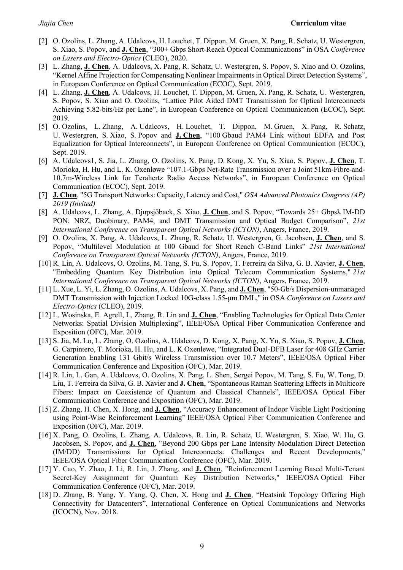- [2] O. Ozolins, L. Zhang, A. Udalcovs, H. Louchet, T. Dippon, M. Gruen, X. Pang, R. Schatz, U. Westergren, S. Xiao, S. Popov, and **J. Chen**, "300+ Gbps Short-Reach Optical Communications" in OSA *Conference on Lasers and Electro-Optics* (CLEO), 2020.
- [3] L. Zhang, **J. Chen**, A. Udalcovs, X. Pang, R. Schatz, U. Westergren, S. Popov, S. Xiao and O. Ozolins, "Kernel Affine Projection for Compensating Nonlinear Impairments in Optical Direct Detection Systems", in European Conference on Optical Communication (ECOC), Sept. 2019.
- [4] L. Zhang, **J. Chen**, A. Udalcovs, H. Louchet, T. Dippon, M. Gruen, X. Pang, R. Schatz, U. Westergren, S. Popov, S. Xiao and O. Ozolins, "Lattice Pilot Aided DMT Transmission for Optical Interconnects Achieving 5.82-bits/Hz per Lane", in European Conference on Optical Communication (ECOC), Sept. 2019.
- [5] O. Ozolins, L. Zhang, A. Udalcovs, H. Louchet, T. Dippon, M. Gruen, X. Pang, R. Schatz, U. Westergren, S. Xiao, S. Popov and **J. Chen**, "100 Gbaud PAM4 Link without EDFA and Post Equalization for Optical Interconnects", in European Conference on Optical Communication (ECOC), Sept. 2019.
- [6] A. Udalcovs1, S. Jia, L. Zhang, O. Ozolins, X. Pang, D. Kong, X. Yu, S. Xiao, S. Popov, **J. Chen**, T. Morioka, H. Hu, and L. K. Oxenløwe "107.1-Gbps Net-Rate Transmission over a Joint 51km-Fibre-and-10.7m-Wireless Link for Terahertz Radio Access Networks", in European Conference on Optical Communication (ECOC), Sept. 2019.
- [7] **J. Chen**, "5G Transport Networks: Capacity, Latency and Cost," *OSA Advanced Photonics Congress (AP) 2019 (Invited)*
- [8] A. Udalcovs, L. Zhang, A. Djupsjöback, S. Xiao, **J. Chen**, and S. Popov, "Towards 25+ Gbpsλ IM-DD PON: NRZ, Duobinary, PAM4, and DMT Transmission and Optical Budget Comparison", *21st International Conference on Transparent Optical Networks (ICTON)*, Angers, France, 2019.
- [9] O. Ozolins, X. Pang, A. Udalcovs, L. Zhang, R. Schatz, U. Westergren, G. Jacobsen, **J. Chen**, and S. Popov, "Multilevel Modulation at 100 Gbaud for Short Reach C-Band Links" *21st International Conference on Transparent Optical Networks (ICTON)*, Angers, France, 2019.
- [10] R. Lin, A. Udalcovs, O. Ozolins, M. Tang, S. Fu, S. Popov, T. Ferreira da Silva, G. B. Xavier, **J. Chen**, "Embedding Quantum Key Distribution into Optical Telecom Communication Systems," *21st International Conference on Transparent Optical Networks (ICTON)*, Angers, France, 2019.
- [11] L. Xue, L. Yi, L. Zhang, O. Ozolins, A. Udalcovs, X. Pang, and **J. Chen**, "50-Gb/s Dispersion-unmanaged DMT Transmission with Injection Locked 10G-class 1.55-μm DML," in OSA *Conference on Lasers and Electro-Optics* (CLEO), 2019.
- [12] L. Wosinska, E. Agrell, L. Zhang, R. Lin and **J. Chen**, "Enabling Technologies for Optical Data Center Networks: Spatial Division Multiplexing", IEEE/OSA Optical Fiber Communication Conference and Exposition (OFC), Mar. 2019.
- [13] S. Jia, M. Lo, L. Zhang, O. Ozolins, A. Udalcovs, D. Kong, X. Pang, X. Yu, S. Xiao, S. Popov, **J. Chen**, G. Carpintero, T. Morioka, H. Hu, and L. K Oxenlewe, "Integrated Dual-DFB Laser for 408 GHz Carrier Generation Enabling 131 Gbit/s Wireless Transmission over 10.7 Meters", IEEE/OSA Optical Fiber Communication Conference and Exposition (OFC), Mar. 2019.
- [14] R. Lin, L. Gan, A. Udalcovs, O. Ozolins, X. Pang, L. Shen, Sergei Popov, M. Tang, S. Fu, W. Tong, D. Liu, T. Ferreira da Silva, G. B. Xavier and **J. Chen**, "Spontaneous Raman Scattering Effects in Multicore Fibers: Impact on Coexistence of Quantum and Classical Channels", IEEE/OSA Optical Fiber Communication Conference and Exposition (OFC), Mar. 2019.
- [15] Z. Zhang, H. Chen, X. Hong, and **J. Chen**, "Accuracy Enhancement of Indoor Visible Light Positioning using Point-Wise Reinforcement Learning" IEEE/OSA Optical Fiber Communication Conference and Exposition (OFC), Mar. 2019.
- [16] X. Pang, O. Ozolins, L. Zhang, A. Udalcovs, R. Lin, R. Schatz, U. Westergren, S. Xiao, W. Hu, G. Jacobsen, S. Popov, and **J. Chen**, "Beyond 200 Gbps per Lane Intensity Modulation Direct Detection (IM/DD) Transmissions for Optical Interconnects: Challenges and Recent Developments," IEEE/OSA Optical Fiber Communication Conference (OFC), Mar. 2019.
- [17] Y. Cao, Y. Zhao, J. Li, R. Lin, J. Zhang, and **J. Chen**, "Reinforcement Learning Based Multi-Tenant Secret-Key Assignment for Quantum Key Distribution Networks," IEEE/OSA Optical Fiber Communication Conference (OFC), Mar. 2019.
- [18] D. Zhang, B. Yang, Y. Yang, Q. Chen, X. Hong and **J. Chen**, "Heatsink Topology Offering High Connectivity for Datacenters", International Conference on Optical Communications and Networks (ICOCN), Nov. 2018.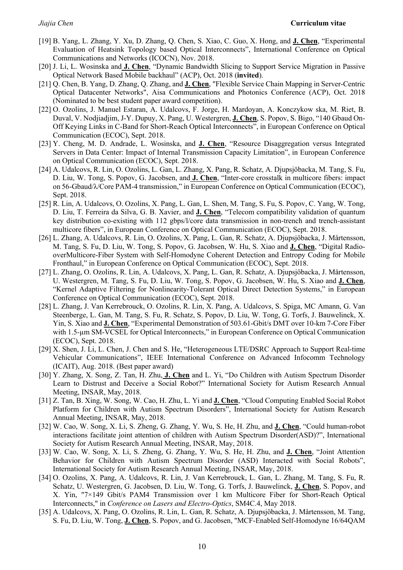- [19] B. Yang, L. Zhang, Y. Xu, D. Zhang, Q. Chen, S. Xiao, C. Guo, X. Hong, and **J. Chen**, "Experimental Evaluation of Heatsink Topology based Optical Interconnects", International Conference on Optical Communications and Networks (ICOCN), Nov. 2018.
- [20] J. Li, L. Wosinska and **J. Chen**, "Dynamic Bandwidth Slicing to Support Service Migration in Passive Optical Network Based Mobile backhaul" (ACP), Oct. 2018 (**invited**).
- [21] Q. Chen, B. Yang, D. Zhang, Q. Zhang, and **J. Chen**, "Flexible Service Chain Mapping in Server-Centric Optical Datacenter Networks", Aisa Communications and Photonics Conference (ACP), Oct. 2018 (Nominated to be best student paper award competition).
- [22] O. Ozolins, J. Manuel Estaran, A. Udalcovs, F. Jorge, H. Mardoyan, A. Konczykow ska, M. Riet, B. Duval, V. Nodjiadjim, J-Y. Dupuy, X. Pang, U. Westergren, **J. Chen**, S. Popov, S. Bigo, "140 Gbaud On-Off Keying Links in C-Band for Short-Reach Optical Interconnects", in European Conference on Optical Communication (ECOC), Sept. 2018.
- [23] Y. Cheng, M. D. Andrade, L. Wosinska, and **J. Chen**, "Resource Disaggregation versus Integrated Servers in Data Center: Impact of Internal Transmission Capacity Limitation", in European Conference on Optical Communication (ECOC), Sept. 2018.
- [24] A. Udalcovs, R. Lin, O. Ozolins, L. Gan, L. Zhang, X. Pang, R. Schatz, A. Djupsjöbacka, M. Tang, S. Fu, D. Liu, W. Tong, S. Popov, G. Jacobsen, and **J. Chen**, "Inter-core crosstalk in multicore fibers: impact on 56-Gbaud/λ/Core PAM-4 transmission," in European Conference on Optical Communication (ECOC), Sept. 2018.
- [25] R. Lin, A. Udalcovs, O. Ozolins, X. Pang, L. Gan, L. Shen, M. Tang, S. Fu, S. Popov, C. Yang, W. Tong, D. Liu, T. Ferreira da Silva, G. B. Xavier, and **J. Chen**, "Telecom compatibility validation of quantum key distribution co-existing with 112 gbps/l/core data transmission in non-trench and trench-assistant multicore fibers", in European Conference on Optical Communication (ECOC), Sept. 2018.
- [26] L. Zhang, A. Udalcovs, R. Lin, O. Ozolins, X. Pang, L. Gan, R. Schatz, A. Djupsjöbacka, J. Mårtensson, M. Tang, S. Fu, D. Liu, W. Tong, S. Popov, G. Jacobsen, W. Hu, S. Xiao and **J. Chen**, "Digital RadiooverMulticore-Fiber System with Self-Homodyne Coherent Detection and Entropy Coding for Mobile Fronthaul," in European Conference on Optical Communication (ECOC), Sept. 2018.
- [27] L. Zhang, O. Ozolins, R. Lin, A. Udalcovs, X. Pang, L. Gan, R. Schatz, A. Djupsjöbacka, J. Mårtensson, U. Westergren, M. Tang, S. Fu, D. Liu, W. Tong, S. Popov, G. Jacobsen, W. Hu, S. Xiao and **J. Chen**, "Kernel Adaptive Filtering for Nonlinearity-Tolerant Optical Direct Detection Systems," in European Conference on Optical Communication (ECOC), Sept. 2018.
- [28] L. Zhang, J. Van Kerrebrouck, O. Ozolins, R. Lin, X. Pang, A. Udalcovs, S. Spiga, MC Amann, G. Van Steenberge, L. Gan, M. Tang, S. Fu, R. Schatz, S. Popov, D. Liu, W. Tong, G. Torfs, J. Bauwelinck, X. Yin, S. Xiao and **J. Chen**, "Experimental Demonstration of 503.61-Gbit/s DMT over 10-km 7-Core Fiber with 1.5-µm SM-VCSEL for Optical Interconnects," in European Conference on Optical Communication (ECOC), Sept. 2018.
- [29] X. Shen, J. Li, L. Chen, J. Chen and S. He, "Heterogeneous LTE/DSRC Approach to Support Real-time Vehicular Communications", IEEE International Conference on Advanced Infocomm Technology (ICAIT), Aug. 2018. (Best paper award)
- [30] Y. Zhang, X. Song, Z. Tan, H. Zhu, **J. Chen** and L. Yi, "Do Children with Autism Spectrum Disorder Learn to Distrust and Deceive a Social Robot?" International Society for Autism Research Annual Meeting, INSAR, May, 2018.
- [31] Z. Tan, B. Xing, W. Song, W. Cao, H. Zhu, L. Yi and **J. Chen**, "Cloud Computing Enabled Social Robot Platform for Children with Autism Spectrum Disorders", International Society for Autism Research Annual Meeting, INSAR, May, 2018.
- [32] W. Cao, W. Song, X. Li, S. Zheng, G. Zhang, Y. Wu, S. He, H. Zhu, and **J. Chen**, "Could human-robot interactions facilitate joint attention of children with Autism Spectrum Disorder(ASD)?", International Society for Autism Research Annual Meeting, INSAR, May, 2018.
- [33] W. Cao, W. Song, X. Li, S. Zheng, G. Zhang, Y. Wu, S. He, H. Zhu, and **J. Chen**, "Joint Attention Behavior for Children with Autism Spectrum Disorder (ASD) Interacted with Social Robots", International Society for Autism Research Annual Meeting, INSAR, May, 2018.
- [34] O. Ozolins, X. Pang, A. Udalcovs, R. Lin, J. Van Kerrebrouck, L. Gan, L. Zhang, M. Tang, S. Fu, R. Schatz, U. Westergren, G. Jacobsen, D. Liu, W. Tong, G. Torfs, J. Bauwelinck, **J. Chen**, S. Popov, and X. Yin, "7×149 Gbit/s PAM4 Transmission over 1 km Multicore Fiber for Short-Reach Optical Interconnects," in *Conference on Lasers and Electro-Optics*, SM4C.4, May 2018.
- [35] A. Udalcovs, X. Pang, O. Ozolins, R. Lin, L. Gan, R. Schatz, A. Djupsjöbacka, J. Mårtensson, M. Tang, S. Fu, D. Liu, W. Tong, **J. Chen**, S. Popov, and G. Jacobsen, "MCF-Enabled Self-Homodyne 16/64QAM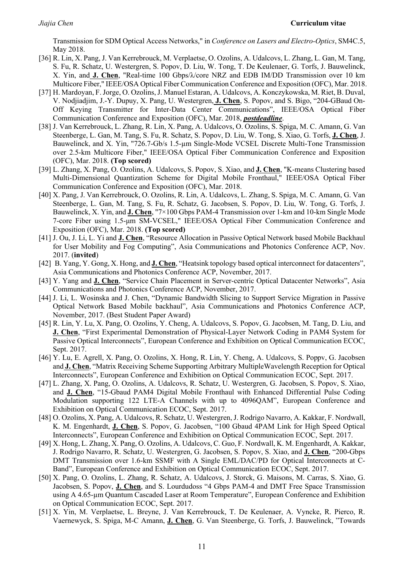Transmission for SDM Optical Access Networks," in *Conference on Lasers and Electro-Optics*, SM4C.5, May 2018.

- [36] R. Lin, X. Pang, J. Van Kerrebrouck, M. Verplaetse, O. Ozolins, A. Udalcovs, L. Zhang, L. Gan, M. Tang, S. Fu, R. Schatz, U. Westergren, S. Popov, D. Liu, W. Tong, T. De Keulenaer, G. Torfs, J. Bauwelinck, X. Yin, and **J. Chen**, "Real-time 100 Gbps/λ/core NRZ and EDB IM/DD Transmission over 10 km Multicore Fiber," IEEE/OSA Optical Fiber Communication Conference and Exposition (OFC), Mar. 2018.
- [37] H. Mardoyan, F. Jorge, O. Ozolins, J. Manuel Estaran, A. Udalcovs, A. Konczykowska, M. Riet, B. Duval, V. Nodjiadjim, J.-Y. Dupuy, X. Pang, U. Westergren, **J. Chen**, S. Popov, and S. Bigo, "204-GBaud On-Off Keying Transmitter for Inter-Data Center Communications", IEEE/OSA Optical Fiber Communication Conference and Exposition (OFC), Mar. 2018, *postdeadline*.
- [38] J. Van Kerrebrouck, L. Zhang, R. Lin, X. Pang, A. Udalcovs, O. Ozolins, S. Spiga, M. C. Amann, G. Van Steenberge, L. Gan, M. Tang, S. Fu, R. Schatz, S. Popov, D. Liu, W. Tong, S. Xiao, G. Torfs, **J. Chen**, J. Bauwelinck, and X. Yin, "726.7-Gb/s 1.5-µm Single-Mode VCSEL Discrete Multi-Tone Transmission over 2.5-km Multicore Fiber," IEEE/OSA Optical Fiber Communication Conference and Exposition (OFC), Mar. 2018. **(Top scored)**
- [39] L. Zhang, X. Pang, O. Ozolins, A. Udalcovs, S. Popov, S. Xiao, and **J. Chen**, "K-means Clustering based Multi-Dimensional Quantization Scheme for Digital Mobile Fronthaul," IEEE/OSA Optical Fiber Communication Conference and Exposition (OFC), Mar. 2018.
- [40] X. Pang, J. Van Kerrebrouck, O. Ozolins, R. Lin, A. Udalcovs, L. Zhang, S. Spiga, M. C. Amann, G. Van Steenberge, L. Gan, M. Tang, S. Fu, R. Schatz, G. Jacobsen, S. Popov, D. Liu, W. Tong, G. Torfs, J. Bauwelinck, X. Yin, and **J. Chen**, "7×100 Gbps PAM-4 Transmission over 1-km and 10-km Single Mode 7-core Fiber using 1.5-μm SM-VCSEL," IEEE/OSA Optical Fiber Communication Conference and Exposition (OFC), Mar. 2018. **(Top scored)**
- [41] J. Ou, J. Li, L. Yi and **J. Chen**, "Resource Allocation in Passive Optical Network based Mobile Backhaul for User Mobility and Fog Computing", Asia Communications and Photonics Conference ACP, Nov. 2017. (**invited**)
- [42] B. Yang, Y. Gong, X. Hong, and **J. Chen**, "Heatsink topology based optical interconnect for datacenters", Asia Communications and Photonics Conference ACP, November, 2017.
- [43] Y. Yang and **J. Chen**, "Service Chain Placement in Server-centric Optical Datacenter Networks", Asia Communications and Photonics Conference ACP, November, 2017.
- [44] J. Li, L. Wosinska and J. Chen, "Dynamic Bandwidth Slicing to Support Service Migration in Passive Optical Network Based Mobile backhaul", Asia Communications and Photonics Conference ACP, November, 2017. (Best Student Paper Award)
- [45] R. Lin, Y. Lu, X. Pang, O. Ozolins, Y. Cheng, A. Udalcovs, S. Popov, G. Jacobsen, M. Tang, D. Liu, and **J. Chen**, "First Experimental Demonstration of Physical-Layer Network Coding in PAM4 System for Passive Optical Interconnects", European Conference and Exhibition on Optical Communication ECOC, Sept. 2017.
- [46] Y. Lu, E. Agrell, X. Pang, O. Ozolins, X. Hong, R. Lin, Y. Cheng, A. Udalcovs, S. Poppv, G. Jacobsen and **J. Chen**, "Matrix Receiving Scheme Supporting Arbitrary MultipleWavelength Reception for Optical Interconnects", European Conference and Exhibition on Optical Communication ECOC, Sept. 2017.
- [47] L. Zhang, X. Pang, O. Ozolins, A. Udalcovs, R. Schatz, U. Westergren, G. Jacobsen, S. Popov, S. Xiao, and **J. Chen**, "15-Gbaud PAM4 Digital Mobile Fronthaul with Enhanced Differential Pulse Coding Modulation supporting 122 LTE-A Channels with up to 4096QAM", European Conference and Exhibition on Optical Communication ECOC, Sept. 2017.
- [48] O. Ozolins, X. Pang, A. Udalcovs, R. Schatz, U. Westergren, J. Rodrigo Navarro, A. Kakkar, F. Nordwall, K. M. Engenhardt, **J. Chen**, S. Popov, G. Jacobsen, "100 Gbaud 4PAM Link for High Speed Optical Interconnects", European Conference and Exhibition on Optical Communication ECOC, Sept. 2017.
- [49] X. Hong, L. Zhang, X. Pang, O. Ozolins, A. Udalcovs, C. Guo, F. Nordwall, K. M. Engenhardt, A. Kakkar, J. Rodrigo Navarro, R. Schatz, U. Westergren, G. Jacobsen, S. Popov, S. Xiao, and **J. Chen**, "200-Gbps DMT Transmission over 1.6-km SSMF with A Single EML/DAC/PD for Optical Interconnects at C-Band", European Conference and Exhibition on Optical Communication ECOC, Sept. 2017.
- [50] X. Pang, O. Ozolins, L. Zhang, R. Schatz, A. Udalcovs, J. Storck, G. Maisons, M. Carras, S. Xiao, G. Jacobsen, S. Popov, **J. Chen**, and S. Lourdudoss "4 Gbps PAM-4 and DMT Free Space Transmission using A 4.65-µm Quantum Cascaded Laser at Room Temperature", European Conference and Exhibition on Optical Communication ECOC, Sept. 2017.
- [51] X. Yin, M. Verplaetse, L. Breyne, J. Van Kerrebrouck, T. De Keulenaer, A. Vyncke, R. Pierco, R. Vaernewyck, S. Spiga, M-C Amann, **J. Chen**, G. Van Steenberge, G. Torfs, J. Bauwelinck, "Towards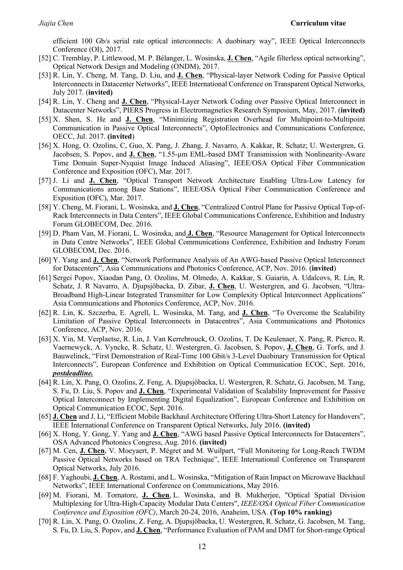efficient 100 Gb/s serial rate optical interconnects: A duobinary way", IEEE Optical Interconnects Conference (OI), 2017.

- [52] C. Tremblay, P. Littlewood, M. P. Bélanger, L. Wosinska, **J. Chen**, "Agile filterless optical networking", Optical Network Design and Modeling (ONDM), 2017.
- [53] R. Lin, Y. Cheng, M. Tang, D. Liu, and **J. Chen**, "Physical-layer Network Coding for Passive Optical Interconnects in Datacenter Networks", IEEE International Conference on Transparent Optical Networks, July 2017. (**invited)**
- [54] R. Lin, Y. Cheng and **J. Chen**, "Physical-Layer Network Coding over Passive Optical Interconnect in Datacenter Networks", PIERS Progress in Electromagnetics Research Symposium, May, 2017. (**invited)**
- [55] X. Shen, S. He and **J. Chen**, "Minimizing Registration Overhead for Multipoint-to-Multipoint Communication in Passive Optical Interconnects", OptoElectronics and Communications Conference, OECC, Jul. 2017. **(invited**)
- [56] X. Hong, O. Ozolins, C, Guo, X. Pang, J. Zhang, J. Navarro, A. Kakkar, R. Schatz; U. Westergren, G. Jacobsen, S. Popov, and **J. Chen**, "1.55-µm EML-based DMT Transmission with Nonlinearity-Aware Time Domain Super-Nyquist Image Induced Aliasing", IEEE/OSA Optical Fiber Communication Conference and Exposition (OFC), Mar. 2017.
- [57] J. Li and **J. Chen**, "Optical Transport Network Architecture Enabling Ultra-Low Latency for Communications among Base Stations", IEEE/OSA Optical Fiber Communication Conference and Exposition (OFC), Mar. 2017.
- [58] Y. Cheng, M. Fiorani, L. Wosinska, and **J. Chen**, "Centralized Control Plane for Passive Optical Top-of-Rack Interconnects in Data Centers", IEEE Global Communications Conference, Exhibition and Industry Forum GLOBECOM, Dec. 2016.
- [59] D. Pham Van, M. Fiorani, L. Wosinska, and **J. Chen**, "Resource Management for Optical Interconnects in Data Centre Networks", IEEE Global Communications Conference, Exhibition and Industry Forum GLOBECOM, Dec. 2016.
- [60] Y. Yang and **J. Chen**, "Network Performance Analysis of An AWG-based Passive Optical Interconnect for Datacenters", Asia Communications and Photonics Conference, ACP, Nov. 2016. (**invited**)
- [61] Sergei Popov, Xiaodan Pang, O. Ozolins, M. Olmedo, A. Kakkar, S. Gaiarin, A. Udalcovs, R. Lin, R. Schatz, J. R Navarro, A. Djupsjöbacka, D. Zibar, **J. Chen**, U. Westergren, and G. Jacobsen, "Ultra-Broadband High-Linear Integrated Transmitter for Low Complexity Optical Interconnect Applications" Asia Communications and Photonics Conference, ACP, Nov. 2016.
- [62] R. Lin, K. Szczerba, E. Agrell, L. Wosinska, M. Tang, and **J. Chen**, "To Overcome the Scalability Limitation of Passive Optical Interconnects in Datacentres", Asia Communications and Photonics Conference, ACP, Nov. 2016.
- [63] X. Yin, M. Verplaetse, R. Lin, J. Van Kerrebrouck, O. Ozolins, T. De Keulenaer, X. Pang, R. Pierco, R. Vaernewyck, A. Vyncke, R. Schatz, U. Westergren, G. Jacobsen, S. Popov, **J. Chen**, G. Torfs, and J. Bauwelinck, "First Demonstration of Real-Time 100 Gbit/s 3-Level Duobinary Transmission for Optical Interconnects", European Conference and Exhibition on Optical Communication ECOC, Sept. 2016, *postdeadline.*
- [64] R. Lin, X. Pang, O. Ozolins, Z. Feng, A. Djupsjöbacka, U. Westergren, R. Schatz, G. Jacobsen, M. Tang, S. Fu, D. Liu, S. Popov and **J. Chen**, "Experimental Validation of Scalability Improvement for Passive Optical Interconnect by Implementing Digital Equalization", European Conference and Exhibition on Optical Communication ECOC, Sept. 2016.
- [65] **J. Chen** and J. Li, "Efficient Mobile Backhaul Architecture Offering Ultra-Short Latency for Handovers", IEEE International Conference on Transparent Optical Networks, July 2016. **(invited)**
- [66] X. Hong, Y. Gong, Y. Yang and **J. Chen**, "AWG based Passive Optical Interconnects for Datacenters", OSA Advanced Photonics Congress, Aug. 2016. **(invited)**
- [67] M. Cen, **J. Chen**, V. Moeyaert, P. Mégret and M. Wuilpart, "Full Monitoring for Long-Reach TWDM Passive Optical Networks based on TRA Technique", IEEE International Conference on Transparent Optical Networks, July 2016.
- [68] F. Yaghoubi, **J. Chen**, A. Rostami, and L. Wosinska, "Mitigation of Rain Impact on Microwave Backhaul Networks", IEEE International Conference on Communications, May 2016.
- [69] M. Fiorani, M. Tornatore, **J. Chen**, L. Wosinska, and B. Mukherjee, "Optical Spatial Division Multiplexing for Ultra-High-Capacity Modular Data Centers", *IEEE/OSA Optical Fiber Communication Conference and Exposition (OFC)*, March 20-24, 2016, Anaheim, USA. **(Top 10% ranking)**
- [70] R. Lin, X. Pang, O. Ozolins, Z. Feng, A. Djupsjöbacka, U. Westergren, R. Schatz, G. Jacobsen, M. Tang, S. Fu, D. Liu, S. Popov, and **J. Chen**, "Performance Evaluation of PAM and DMT for Short-range Optical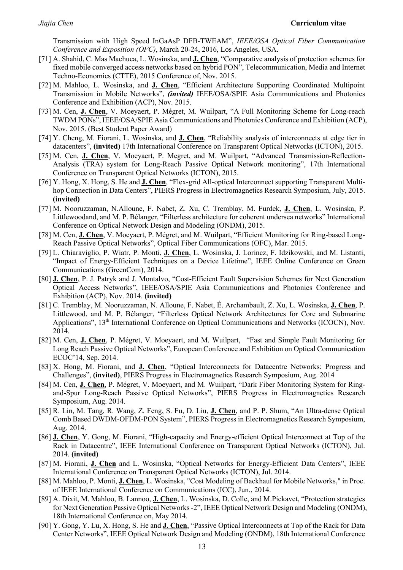Transmission with High Speed InGaAsP DFB-TWEAM", *IEEE/OSA Optical Fiber Communication Conference and Exposition (OFC)*, March 20-24, 2016, Los Angeles, USA.

- [71] A. Shahid, C. Mas Machuca, L. Wosinska, and **J. Chen**, "Comparative analysis of protection schemes for fixed mobile converged access networks based on hybrid PON", Telecommunication, Media and Internet Techno-Economics (CTTE), 2015 Conference of, Nov. 2015.
- [72] M. Mahloo, L. Wosinska, and **J. Chen**, "Efficient Architecture Supporting Coordinated Multipoint Transmission in Mobile Networks", *(invited)* IEEE/OSA/SPIE Asia Communications and Photonics Conference and Exhibition (ACP), Nov. 2015.
- [73] M. Cen, **J. Chen**, V. Moeyaert, P. Mégret, M. Wuilpart, "A Full Monitoring Scheme for Long-reach TWDM PONs", IEEE/OSA/SPIE Asia Communications and Photonics Conference and Exhibition (ACP), Nov. 2015. (Best Student Paper Award)
- [74] Y. Cheng, M. Fiorani, L. Wosinska, and **J. Chen**, "Reliability analysis of interconnects at edge tier in datacenters", **(invited)** 17th International Conference on Transparent Optical Networks (ICTON), 2015.
- [75] M. Cen, **J. Chen**, V. Moeyaert, P. Megret, and M. Wuilpart, "Advanced Transmission-Reflection-Analysis (TRA) system for Long-Reach Passive Optical Network monitoring", 17th International Conference on Transparent Optical Networks (ICTON), 2015.
- [76] Y. Hong, X. Hong, S. He and **J. Chen**, "Flex-grid All-optical Interconnect supporting Transparent Multihop Connection in Data Centers", PIERS Progress in Electromagnetics Research Symposium, July, 2015. **(invited)**
- [77] M. Nooruzzaman, N.Alloune, F. Nabet, Z. Xu, C. Tremblay, M. Furdek, **J. Chen**, L. Wosinska, P. Littlewoodand, and M. P. Bélanger, "Filterless architecture for coherent undersea networks" International Conference on Optical Network Design and Modeling (ONDM), 2015.
- [78] M. Cen, **J. Chen**, V. Moeyaert, P. Mégret, and M. Wuilpart, "Efficient Monitoring for Ring-based Long-Reach Passive Optical Networks", Optical Fiber Communications (OFC), Mar. 2015.
- [79] L. Chiaraviglio, P. Wiatr, P. Monti, **J. Chen**, L. Wosinska, J. Lorincz, F. Idzikowski, and M. Listanti, "Impact of Energy-Efficient Techniques on a Device Lifetime", IEEE Online Conference on Green Communications (GreenCom), 2014.
- [80] **J. Chen**, P. J. Patryk and J. Montalvo, "Cost-Efficient Fault Supervision Schemes for Next Generation Optical Access Networks", IEEE/OSA/SPIE Asia Communications and Photonics Conference and Exhibition (ACP), Nov. 2014. **(invited)**
- [81] C. Tremblay, M. Nooruzzaman, N. Alloune, F. Nabet, É. Archambault, Z. Xu, L. Wosinska, **J. Chen**, P. Littlewood, and M. P. Bélanger, "Filterless Optical Network Architectures for Core and Submarine Applications", 13<sup>th</sup> International Conference on Optical Communications and Networks (ICOCN), Nov. 2014.
- [82] M. Cen, **J. Chen**, P. Mégret, V. Moeyaert, and M. Wuilpart, "Fast and Simple Fault Monitoring for Long Reach Passive Optical Networks", European Conference and Exhibition on Optical Communication ECOC'14, Sep. 2014.
- [83] X. Hong, M. Fiorani, and **J. Chen**, "Optical Interconnects for Datacentre Networks: Progress and Challenges", **(invited)**, PIERS Progress in Electromagnetics Research Symposium, Aug. 2014
- [84] M. Cen, **J. Chen**, P. Mégret, V. Moeyaert, and M. Wuilpart, "Dark Fiber Monitoring System for Ringand-Spur Long-Reach Passive Optical Networks", PIERS Progress in Electromagnetics Research Symposium, Aug. 2014.
- [85] R. Lin, M. Tang, R. Wang, Z. Feng, S. Fu, D. Liu, **J. Chen**, and P. P. Shum, "An Ultra-dense Optical Comb Based DWDM-OFDM-PON System", PIERS Progress in Electromagnetics Research Symposium, Aug. 2014.
- [86] **J. Chen**, Y. Gong, M. Fiorani, "High-capacity and Energy-efficient Optical Interconnect at Top of the Rack in Datacentre", IEEE International Conference on Transparent Optical Networks (ICTON), Jul. 2014. **(invited)**
- [87] M. Fiorani, **J. Chen** and L. Wosinska, "Optical Networks for Energy-Efficient Data Centers", IEEE International Conference on Transparent Optical Networks (ICTON), Jul. 2014.
- [88] M. Mahloo, P. Monti, **J. Chen**, L. Wosinska, "Cost Modeling of Backhaul for Mobile Networks," in Proc. of IEEE International Conference on Communications (ICC), Jun., 2014.
- [89] A. Dixit, M. Mahloo, B. Lannoo, **J. Chen**, L. Wosinska, D. Colle, and M.Pickavet, "Protection strategies for Next Generation Passive Optical Networks -2", IEEE Optical Network Design and Modeling (ONDM), 18th International Conference on, May 2014.
- [90] Y. Gong, Y. Lu, X. Hong, S. He and **J. Chen**, "Passive Optical Interconnects at Top of the Rack for Data Center Networks", IEEE Optical Network Design and Modeling (ONDM), 18th International Conference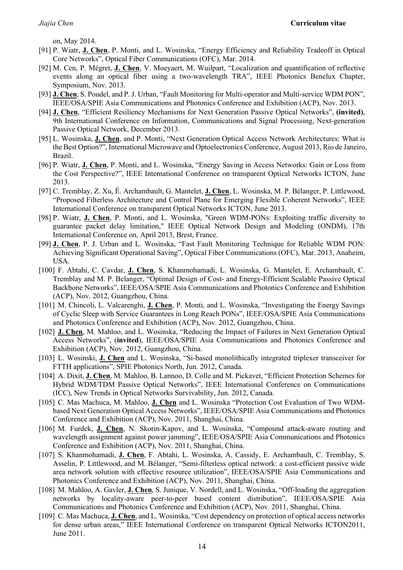on, May 2014.

- [91] P. Wiatr, **J. Chen**, P. Monti, and L. Wosinska, "Energy Efficiency and Reliability Tradeoff in Optical Core Networks", Optical Fiber Communications (OFC), Mar. 2014.
- [92] M. Cen, P. Mégret, **J. Chen**, V. Moeyaert, M. Wuilpart, "Localization and quantification of reflective events along an optical fiber using a two-wavelength TRA", IEEE Photonics Benelux Chapter, Symposium, Nov. 2013.
- [93] **J. Chen**, S. Poudel, and P. J. Urban, "Fault Monitoring for Multi-operator and Multi-service WDM PON", IEEE/OSA/SPIE Asia Communications and Photonics Conference and Exhibition (ACP), Nov. 2013.
- [94] **J. Chen**, "Efficient Resiliency Mechanisms for Next Generation Passive Optical Networks", **(invited)**, 9th International Conference on Information, Communications and Signal Processing, Next-generation Passive Optical Network, December 2013.
- [95] L. Wosinska, **J. Chen**, and P. Monti, "Next Generation Optical Access Network Architectures: What is the Best Option?", International Microwave and Optoelectronics Conference, August 2013, Rio de Janeiro, Brazil.
- [96] P. Wiatr, **J. Chen**, P. Monti, and L. Wosinska, "Energy Saving in Access Networks: Gain or Loss from the Cost Perspective?", IEEE International Conference on transparent Optical Networks ICTON, June 2013.
- [97] C. Tremblay, Z. Xu, É. Archambault, G. Mantelet, **J. Chen**, L. Wosinska, M. P. Bélanger, P. Littlewood, "Proposed Filterless Architecture and Control Plane for Emerging Flexible Coherent Networks", IEEE International Conference on transparent Optical Networks ICTON, June 2013.
- [98] P. Wiatr, **J. Chen**, P. Monti, and L. Wosinska, "Green WDM-PONs: Exploiting traffic diversity to guarantee packet delay limitation," IEEE Optical Network Design and Modeling (ONDM), 17th International Conference on, April 2013, Brest, France.
- [99] **J. Chen**, P. J. Urban and L. Wosinska, "Fast Fault Monitoring Technique for Reliable WDM PON: Achieving Significant Operational Saving", Optical Fiber Communications (OFC), Mar. 2013, Anaheim, USA.
- [100] F. Abtahi, C. Cavdar, **J. Chen**, S. Khanmohamadi, L. Wosinska, G. Mantelet, E. Archambault, C. Tremblay and M. P. Belanger, "Optimal Design of Cost- and Energy-Efficient Scalable Passive Optical Backbone Networks", IEEE/OSA/SPIE Asia Communications and Photonics Conference and Exhibition (ACP), Nov. 2012, Guangzhou, China.
- [101] M. Chincoli, L. Valcarenghi, **J. Chen**, P. Monti, and L. Wosinska, "Investigating the Energy Savings of Cyclic Sleep with Service Guarantees in Long Reach PONs", IEEE/OSA/SPIE Asia Communications and Photonics Conference and Exhibition (ACP), Nov. 2012, Guangzhou, China.
- [102] **J. Chen**, M. Mahloo, and L. Wosinska, "Reducing the Impact of Failures in Next Generation Optical Access Networks", (**invited**), IEEE/OSA/SPIE Asia Communications and Photonics Conference and Exhibition (ACP), Nov. 2012, Guangzhou, China.
- [103] L. Wosinski, **J. Chen** and L. Wosinska, "Si-based monolithically integrated triplexer transceiver for FTTH applications", SPIE Photonics North, Jun. 2012, Canada.
- [104] A. Dixit, **J. Chen**, M. Mahloo, B. Lannoo, D. Colle and M. Pickavet, "Efficient Protection Schemes for Hybrid WDM/TDM Passive Optical Networks", IEEE International Conference on Communications (ICC), New Trends in Optical Networks Survivability, Jun. 2012, Canada.
- [105] C. Mas Machuca, M. Mahloo, **J. Chen** and L. Wosinska "Protection Cost Evaluation of Two WDMbased Next Generation Optical Access Networks", IEEE/OSA/SPIE Asia Communications and Photonics Conference and Exhibition (ACP), Nov. 2011, Shanghai, China.
- [106] M. Furdek, **J. Chen**, N. Skorin-Kapov, and L. Wosinska, "Compound attack-aware routing and wavelength assignment against power jamming", IEEE/OSA/SPIE Asia Communications and Photonics Conference and Exhibition (ACP), Nov. 2011, Shanghai, China.
- [107] S. Khanmohamadi, **J. Chen**, F. Abtahi, L. Wosinska, A. Cassidy, E. Archambault, C. Tremblay, S. Asselin, P. Littlewood, and M. Bélanger, "Semi-filterless optical network: a cost-efficient passive wide area network solution with effective resource utilization", IEEE/OSA/SPIE Asia Communications and Photonics Conference and Exhibition (ACP), Nov. 2011, Shanghai, China.
- [108] M. Mahloo, A. Gavler, **J. Chen**, S. Junique, V. Nordell, and L. Wosinska, "Off-loading the aggregation networks by locality-aware peer-to-peer based content distribution", IEEE/OSA/SPIE Asia Communications and Photonics Conference and Exhibition (ACP), Nov. 2011, Shanghai, China.
- [109] C. Mas Machuca, **J. Chen**, and L. Wosinska, "Cost dependency on protection of optical access networks for dense urban areas," IEEE International Conference on transparent Optical Networks ICTON2011, June 2011.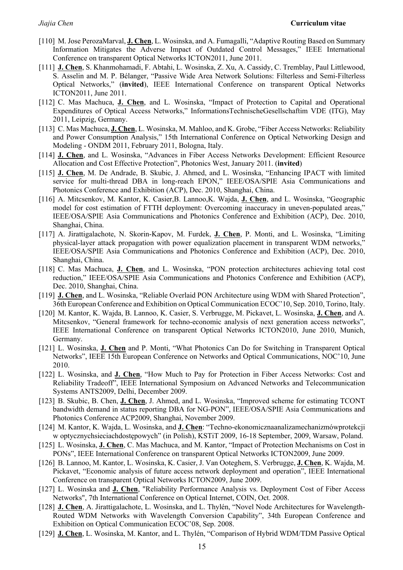- [110] M. Jose PerozaMarval, **J. Chen**, L. Wosinska, and A. Fumagalli, "Adaptive Routing Based on Summary Information Mitigates the Adverse Impact of Outdated Control Messages," IEEE International Conference on transparent Optical Networks ICTON2011, June 2011.
- [111] **J. Chen**, S. Khanmohamadi, F. Abtahi, L. Wosinska, Z. Xu, A. Cassidy, C. Tremblay, Paul Littlewood, S. Asselin and M. P. Bélanger, "Passive Wide Area Network Solutions: Filterless and Semi-Filterless Optical Networks," (**invited**), IEEE International Conference on transparent Optical Networks ICTON2011, June 2011.
- [112] C. Mas Machuca, **J. Chen**, and L. Wosinska, "Impact of Protection to Capital and Operational Expenditures of Optical Access Networks," InformationsTechnischeGesellschaftim VDE (ITG), May 2011, Leipzig, Germany.
- [113] C. Mas Machuca, **J. Chen**, L. Wosinska, M. Mahloo, and K. Grobe, "Fiber Access Networks: Reliability and Power Consumption Analysis," 15th International Conference on Optical Networking Design and Modeling - ONDM 2011, February 2011, Bologna, Italy.
- [114] **J. Chen**, and L. Wosinska, "Advances in Fiber Access Networks Development: Efficient Resource Allocation and Cost Effective Protection", Photonics West, January 2011. (**invited**)
- [115] **J. Chen**, M. De Andrade, B. Skubic, J. Ahmed, and L. Wosinska, "Enhancing IPACT with limited service for multi-thread DBA in long-reach EPON," IEEE/OSA/SPIE Asia Communications and Photonics Conference and Exhibition (ACP), Dec. 2010, Shanghai, China.
- [116] A. Mitcsenkov, M. Kantor, K. Casier,B. Lannoo,K. Wajda, **J. Chen**, and L. Wosinska, "Geographic model for cost estimation of FTTH deployment: Overcoming inaccuracy in uneven-populated areas," IEEE/OSA/SPIE Asia Communications and Photonics Conference and Exhibition (ACP), Dec. 2010, Shanghai, China.
- [117] A. Jirattigalachote, N. Skorin-Kapov, M. Furdek, **J. Chen**, P. Monti, and L. Wosinska, "Limiting physical-layer attack propagation with power equalization placement in transparent WDM networks," IEEE/OSA/SPIE Asia Communications and Photonics Conference and Exhibition (ACP), Dec. 2010, Shanghai, China.
- [118] C. Mas Machuca, **J. Chen**, and L. Wosinska, "PON protection architectures achieving total cost reduction," IEEE/OSA/SPIE Asia Communications and Photonics Conference and Exhibition (ACP), Dec. 2010, Shanghai, China.
- [119] **J. Chen**, and L. Wosinska, "Reliable Overlaid PON Architecture using WDM with Shared Protection", 36th European Conference and Exhibition on Optical Communication ECOC'10, Sep. 2010, Torino, Italy.
- [120] M. Kantor, K. Wajda, B. Lannoo, K. Casier, S. Verbrugge, M. Pickavet, L. Wosinska, **J. Chen**, and A. Mitcsenkov, "General framework for techno-economic analysis of next generation access networks", IEEE International Conference on transparent Optical Networks ICTON2010, June 2010, Munich, Germany.
- [121] L. Wosinska, **J. Chen** and P. Monti, "What Photonics Can Do for Switching in Transparent Optical Networks", IEEE 15th European Conference on Networks and Optical Communications, NOC'10, June 2010.
- [122] L. Wosinska, and **J. Chen**, "How Much to Pay for Protection in Fiber Access Networks: Cost and Reliability Tradeoff", IEEE International Symposium on Advanced Networks and Telecommunication Systems ANTS2009, Delhi, December 2009.
- [123] B. Skubic, B. Chen, **J. Chen**, J. Ahmed, and L. Wosinska, "Improved scheme for estimating TCONT bandwidth demand in status reporting DBA for NG-PON", IEEE/OSA/SPIE Asia Communications and Photonics Conference ACP2009, Shanghai, November 2009.
- [124] M. Kantor, K. Wajda, L. Wosinska, and **J. Chen**: "Techno-ekonomicznaanalizamechanizmówprotekcji w optycznychsieciachdostępowych" (in Polish), KSTiT 2009, 16-18 September, 2009, Warsaw, Poland.
- [125] L. Wosinska, **J. Chen**, C. Mas Machuca, and M. Kantor, "Impact of Protection Mechanisms on Cost in PONs", IEEE International Conference on transparent Optical Networks ICTON2009, June 2009.
- [126] B. Lannoo, M. Kantor, L. Wosinska, K. Casier, J. Van Ooteghem, S. Verbrugge, **J. Chen**, K. Wajda, M. Pickavet, "Economic analysis of future access network deployment and operation", IEEE International Conference on transparent Optical Networks ICTON2009, June 2009.
- [127] L. Wosinska and **J. Chen**, "Reliability Performance Analysis vs. Deployment Cost of Fiber Access Networks", 7th International Conference on Optical Internet, COIN, Oct. 2008.
- [128] **J. Chen**, A. Jirattigalachote, L. Wosinska, and L. Thylén, "Novel Node Architectures for Wavelength-Routed WDM Networks with Wavelength Conversion Capability", 34th European Conference and Exhibition on Optical Communication ECOC'08, Sep. 2008.
- [129] **J. Chen**, L. Wosinska, M. Kantor, and L. Thylén, "Comparison of Hybrid WDM/TDM Passive Optical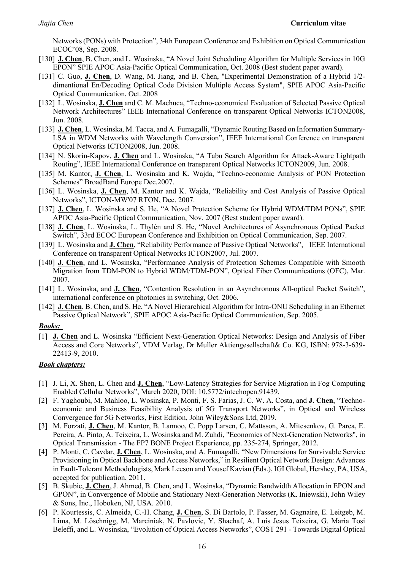Networks (PONs) with Protection", 34th European Conference and Exhibition on Optical Communication ECOC'08, Sep. 2008.

- [130] **J. Chen**, B. Chen, and L. Wosinska, "A Novel Joint Scheduling Algorithm for Multiple Services in 10G EPON" SPIE APOC Asia-Pacific Optical Communication, Oct. 2008 (Best student paper award).
- [131] C. Guo, **J. Chen**, D. Wang, M. Jiang, and B. Chen, "Experimental Demonstration of a Hybrid 1/2 dimentional En/Decoding Optical Code Division Multiple Access System", SPIE APOC Asia-Pacific Optical Communication, Oct. 2008
- [132] L. Wosinska, **J. Chen** and C. M. Machuca, "Techno-economical Evaluation of Selected Passive Optical Network Architectures" IEEE International Conference on transparent Optical Networks ICTON2008, Jun. 2008.
- [133] **J. Chen**, L. Wosinska, M. Tacca, and A. Fumagalli, "Dynamic Routing Based on Information Summary-LSA in WDM Networks with Wavelength Conversion", IEEE International Conference on transparent Optical Networks ICTON2008, Jun. 2008.
- [134] N. Skorin-Kapov, **J. Chen** and L. Wosinska, "A Tabu Search Algorithm for Attack-Aware Lightpath Routing", IEEE International Conference on transparent Optical Networks ICTON2009, Jun. 2008.
- [135] M. Kantor, **J. Chen**, L. Wosinska and K. Wajda, "Techno-economic Analysis of PON Protection Schemes" BroadBand Europe Dec.2007.
- [136] L. Wosinska, **J. Chen**, M. Kantor and K. Wajda, "Reliability and Cost Analysis of Passive Optical Networks", ICTON-MW'07 RTON, Dec. 2007.
- [137] **J. Chen**, L. Wosinska and S. He, "A Novel Protection Scheme for Hybrid WDM/TDM PONs", SPIE APOC Asia-Pacific Optical Communication, Nov. 2007 (Best student paper award).
- [138] **J. Chen**, L. Wosinska, L. Thylén and S. He, "Novel Architectures of Asynchronous Optical Packet Switch", 33rd ECOC European Conference and Exhibition on Optical Communication, Sep. 2007.
- [139] L. Wosinska and **J. Chen**, "Reliability Performance of Passive Optical Networks", IEEE International Conference on transparent Optical Networks ICTON2007, Jul. 2007.
- [140] **J. Chen**, and L. Wosinska, "Performance Analysis of Protection Schemes Compatible with Smooth Migration from TDM-PON to Hybrid WDM/TDM-PON", Optical Fiber Communications (OFC), Mar. 2007.
- [141] L. Wosinska, and **J. Chen**, "Contention Resolution in an Asynchronous All-optical Packet Switch", international conference on photonics in switching, Oct. 2006.
- [142] **J. Chen**, B. Chen, and S. He, "A Novel Hierarchical Algorithm for Intra-ONU Scheduling in an Ethernet Passive Optical Network", SPIE APOC Asia-Pacific Optical Communication, Sep. 2005.

#### *Books:*

[1] **J. Chen** and L. Wosinska "Efficient Next-Generation Optical Networks: Design and Analysis of Fiber Access and Core Networks", VDM Verlag, Dr Muller Aktiengesellschaft& Co. KG, ISBN: 978-3-639- 22413-9, 2010.

#### *Book chapters:*

- [1] J. Li, X. Shen, L. Chen and **J. Chen**, "Low-Latency Strategies for Service Migration in Fog Computing Enabled Cellular Networks", March 2020, DOI: 10.5772/intechopen.91439.
- [2] F. Yaghoubi, M. Mahloo, L. Wosinska, P. Monti, F. S. Farias, J. C. W. A. Costa, and **J. Chen**, "Technoeconomic and Business Feasibility Analysis of 5G Transport Networks", in Optical and Wireless Convergence for 5G Networks, First Edition, John Wiley&Sons Ltd, 2019.
- [3] M. Forzati, **J. Chen**, M. Kantor, B. Lannoo, C. Popp Larsen, C. Mattsson, A. Mitcsenkov, G. Parca, E. Pereira, A. Pinto, A. Teixeira, L. Wosinska and M. Zuhdi, "Economics of Next-Generation Networks", in Optical Transmission - The FP7 BONE Project Experience, pp. 235-274, Springer, 2012.
- [4] P. Monti, C. Cavdar, **J. Chen**, L. Wosinska, and A. Fumagalli, "New Dimensions for Survivable Service Provisioning in Optical Backbone and Access Networks," in Resilient Optical Network Design: Advances in Fault-Tolerant Methodologists, Mark Leeson and Yousef Kavian (Eds.), IGI Global, Hershey, PA, USA, accepted for publication, 2011.
- [5] B. Skubic, **J. Chen**, J. Ahmed, B. Chen, and L. Wosinska, "Dynamic Bandwidth Allocation in EPON and GPON", in Convergence of Mobile and Stationary Next-Generation Networks (K. Iniewski), John Wiley & Sons, Inc., Hoboken, NJ, USA. 2010.
- [6] P. Kourtessis, C. Almeida, C.-H. Chang, **J. Chen**, S. Di Bartolo, P. Fasser, M. Gagnaire, E. Leitgeb, M. Lima, M. Löschnigg, M. Marciniak, N. Pavlovic, Y. Shachaf, A. Luis Jesus Teixeira, G. Maria Tosi Beleffi, and L. Wosinska, "Evolution of Optical Access Networks", COST 291 - Towards Digital Optical